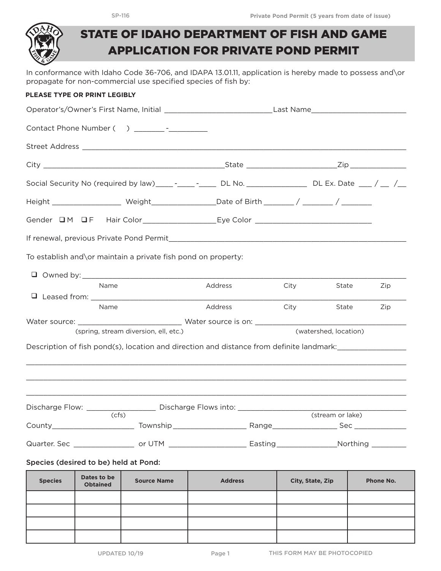

## STATE OF IDAHO DEPARTMENT OF FISH AND GAME APPLICATION FOR PRIVATE POND PERMIT

In conformance with Idaho Code 36-706, and IDAPA 13.01.11, application is hereby made to possess and\or propagate for non-commercial use specified species of fish by:

## **PLEASE TYPE OR PRINT LEGIBLY**

|                                                                                                               |                                                            | Operator's/Owner's First Name, Initial _________________________________Last Name____________________________  |      |                  |           |  |  |  |
|---------------------------------------------------------------------------------------------------------------|------------------------------------------------------------|----------------------------------------------------------------------------------------------------------------|------|------------------|-----------|--|--|--|
|                                                                                                               |                                                            |                                                                                                                |      |                  |           |  |  |  |
|                                                                                                               |                                                            |                                                                                                                |      |                  |           |  |  |  |
|                                                                                                               |                                                            |                                                                                                                |      |                  |           |  |  |  |
| Social Security No (required by law)_____-______-______DL No. _____________________DL Ex. Date ____ / ___ /__ |                                                            |                                                                                                                |      |                  |           |  |  |  |
|                                                                                                               |                                                            |                                                                                                                |      |                  |           |  |  |  |
|                                                                                                               |                                                            |                                                                                                                |      |                  |           |  |  |  |
|                                                                                                               |                                                            |                                                                                                                |      |                  |           |  |  |  |
| To establish and\or maintain a private fish pond on property:                                                 |                                                            |                                                                                                                |      |                  |           |  |  |  |
|                                                                                                               |                                                            |                                                                                                                |      |                  |           |  |  |  |
| Name                                                                                                          |                                                            | Address                                                                                                        | City | State            | Zip       |  |  |  |
| Name                                                                                                          |                                                            | Address                                                                                                        | City | State            | Zip       |  |  |  |
|                                                                                                               |                                                            |                                                                                                                |      |                  |           |  |  |  |
| (watershed, location)<br>(spring, stream diversion, ell, etc.)                                                |                                                            |                                                                                                                |      |                  |           |  |  |  |
|                                                                                                               |                                                            |                                                                                                                |      |                  |           |  |  |  |
|                                                                                                               |                                                            | ,我们也不能会有什么。""我们的人,我们也不能会有什么?""我们的人,我们也不能会有什么?""我们的人,我们也不能会有什么?""我们的人,我们也不能会有什么?""                              |      |                  |           |  |  |  |
|                                                                                                               |                                                            |                                                                                                                |      |                  |           |  |  |  |
| Discharge Flow: ________<br>(cfs)                                                                             | Discharge Flows into: ________________<br>(stream or lake) |                                                                                                                |      |                  |           |  |  |  |
|                                                                                                               |                                                            |                                                                                                                |      |                  |           |  |  |  |
|                                                                                                               |                                                            | Quarter. Sec ____________________ or UTM ________________________Easting __________________Northing __________ |      |                  |           |  |  |  |
| Species (desired to be) held at Pond:                                                                         |                                                            |                                                                                                                |      |                  |           |  |  |  |
| Dates to be<br><b>Species</b><br><b>Obtained</b>                                                              | <b>Source Name</b>                                         | <b>Address</b>                                                                                                 |      | City, State, Zip | Phone No. |  |  |  |
|                                                                                                               |                                                            |                                                                                                                |      |                  |           |  |  |  |
|                                                                                                               |                                                            |                                                                                                                |      |                  |           |  |  |  |
|                                                                                                               |                                                            |                                                                                                                |      |                  |           |  |  |  |